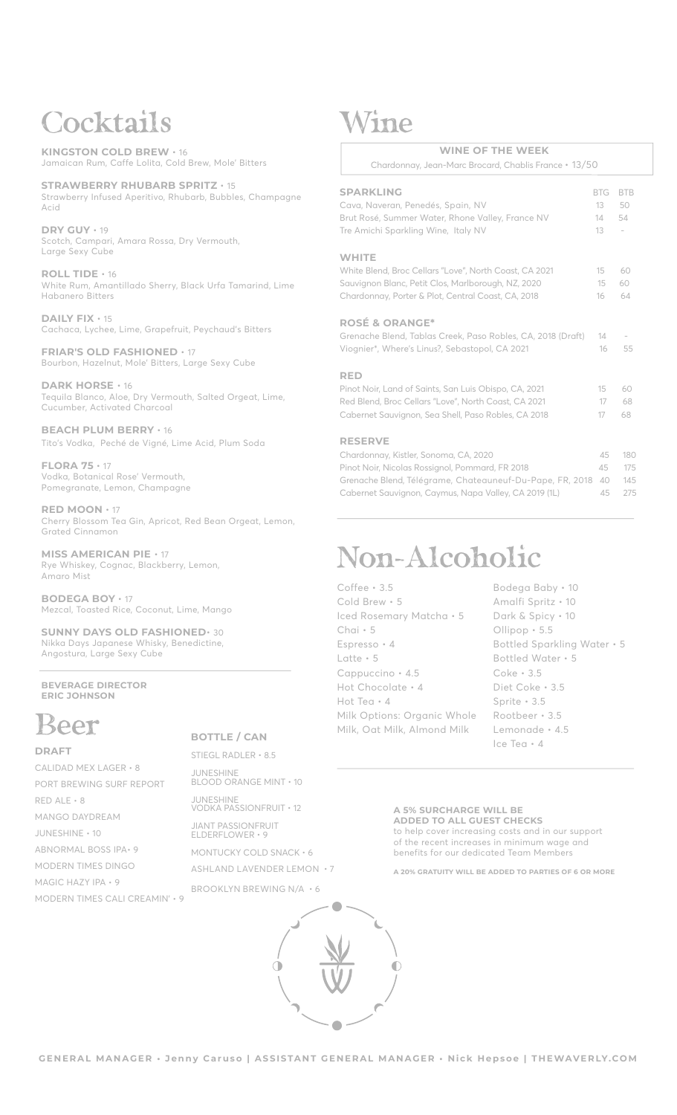## *Cocktails*

**KINGSTON COLD BREW** • 16 Jamaican Rum, Caffe Lolita, Cold Brew, Mole' Bitters

**STRAWBERRY RHUBARB SPRITZ** • 15 Strawberry Infused Aperitivo, Rhubarb, Bubbles, Champagne Acid

**DRY GUY** • 19 Scotch, Campari, Amara Rossa, Dry Vermouth, Large Sexy Cube

**ROLL TIDE** • 16 White Rum, Amantillado Sherry, Black Urfa Tamarind, Lime Habanero Bitters

**DAILY FIX** • 15 Cachaca, Lychee, Lime, Grapefruit, Peychaud's Bitters

**FRIAR'S OLD FASHIONED** • 17 Bourbon, Hazelnut, Mole' Bitters, Large Sexy Cube

**DARK HORSE** • 16 Tequila Blanco, Aloe, Dry Vermouth, Salted Orgeat, Lime, Cucumber, Activated Charcoal

**BEACH PLUM BERRY** • 16 Tito's Vodka, Peché de Vigné, Lime Acid, Plum Soda

**FLORA 75** • 17 Vodka, Botanical Rose' Vermouth, Pomegranate, Lemon, Champagne

**RED MOON** • 17 Cherry Blossom Tea Gin, Apricot, Red Bean Orgeat, Lemon, Grated Cinnamon

**MISS AMERICAN PIE** • 17 Rye Whiskey, Cognac, Blackberry, Lemon, Amaro Mist

**BODEGA BOY** • 17 Mezcal, Toasted Rice, Coconut, Lime, Mango

**SUNNY DAYS OLD FASHIONED**• 30 Nikka Days Japanese Whisky, Benedictine, Angostura, Large Sexy Cube

**BEVERAGE DIRECTOR ERIC JOHNSON**

## *Beer*

#### **DRAFT**

CALIDAD MEX LAGER • 8 PORT BREWING SURF REPORT RED ALE • 8 MANGO DAYDREAM JUNESHINE • 10 ABNORMAL BOSS IPA• 9 MODERN TIMES DINGO MAGIC HAZY IPA • 9 MODERN TIMES CALI CREAMIN' • 9

### **BOTTLE / CAN**

STIEGL RADLER • 8.5 JUNESHINE BLOOD ORANGE MINT • 10

JUNESHINE VODKA PASSIONFRUIT • 12

JIANT PASSIONFRUIT ELDERFLOWER • 9

MONTUCKY COLD SNACK • 6 ASHLAND LAVENDER LEMON • 7

BROOKLYN BREWING N/A • 6



## *Wine*

### **WINE OF THE WEEK**

Chardonnay, Jean-Marc Brocard, Chablis France • 13/50

### **SPARKLING** BTG BTB Cava, Naveran, Penedés, Spain, NV 13 50 Brut Rosé, Summer Water, Rhone Valley, France NV 14 54 Tre Amichi Sparkling Wine, Italy NV 13 **WHITE** White Blend, Broc Cellars "Love", North Coast, CA 2021 15 60 Sauvignon Blanc, Petit Clos, Marlborough, NZ, 2020 15 60 Chardonnay, Porter & Plot, Central Coast, CA, 2018 16 64 **ROSÉ & ORANGE\*** Grenache Blend, Tablas Creek, Paso Robles, CA, 2018 (Draft) 14 Viognier\*, Where's Linus?, Sebastopol, CA 2021 16 55 **RED** Pinot Noir, Land of Saints, San Luis Obispo, CA, 2021 15 60 Red Blend, Broc Cellars "Love", North Coast, CA 2021 17 68

| Cabernet Sauvignon, Sea Shell, Paso Robles, CA 2018             |     | 68. |
|-----------------------------------------------------------------|-----|-----|
| <b>RESERVE</b>                                                  |     |     |
| Chardonnay, Kistler, Sonoma, CA, 2020                           | 45  | 180 |
| Pinot Noir, Nicolas Rossignol, Pommard, FR 2018                 | 45. | 175 |
| Grenache Blend, Télégrame, Chateauneuf-Du-Pape, FR, 2018 40 145 |     |     |

Cabernet Sauvignon, Caymus, Napa Valley, CA 2019 (1L) 45 275

# *Non-Alcoholic*

Coffee • 3.5 Cold Brew • 5 Iced Rosemary Matcha • 5 Chai • 5 Espresso • 4 Latte • 5 Cappuccino • 4.5 Hot Chocolate • 4 Hot Tea • 4 Milk Options: Organic Whole Milk, Oat Milk, Almond Milk

Bodega Baby • 10 Amalfi Spritz • 10 Dark & Spicy • 10 Ollipop • 5.5 Bottled Sparkling Water • 5 Bottled Water • 5 Coke • 3.5 Diet Coke • 3.5 Sprite • 3.5 Rootbeer • 3.5 Lemonade • 4.5 Ice Tea • 4

**A 5% SURCHARGE WILL BE ADDED TO ALL GUEST CHECKS** to help cover increasing costs and in our support of the recent increases in minimum wage and benefits for our dedicated Team Members

**A 20% GRATUITY WILL BE ADDED TO PARTIES OF 6 OR MORE**